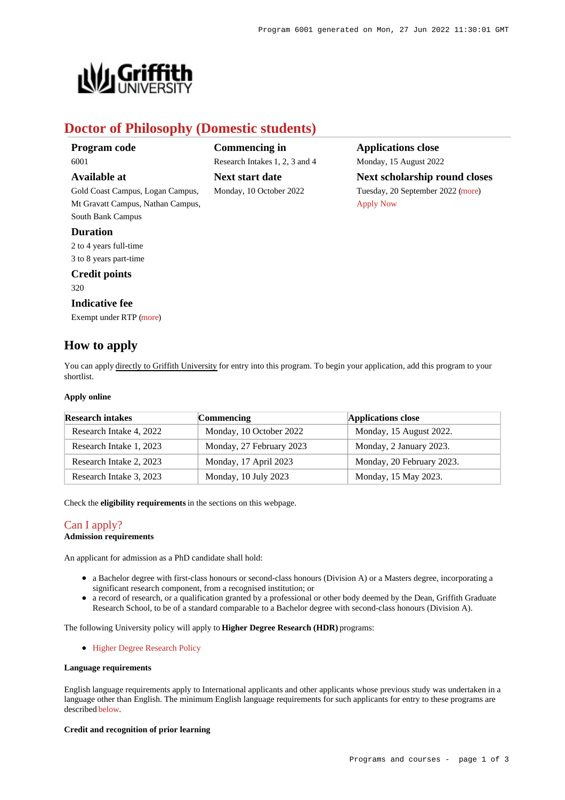**Applications close** Monday, 15 August 2022

[Apply Now](https://www148.griffith.edu.au/programs-courses/Program/6001/HowToApply/Domestic#)

**Next scholarship round closes** Tuesday, 20 September 2022 [\(more](https://www148.griffith.edu.au/programs-courses/Program/6001/HowToApply/Domestic#can-i-apply))



# **Doctor of Philosophy (Domestic students)**

**Commencing in**

**Next start date** Monday, 10 October 2022

Research Intakes 1, 2, 3 and 4

**Program code** 6001

## **Available at**

Gold Coast Campus, Logan Campus, Mt Gravatt Campus, Nathan Campus, South Bank Campus

## **Duration**

2 to 4 years full-time 3 to 8 years part-time

## **Credit points**

320

### **Indicative fee**

Exempt under RTP [\(more](https://www148.griffith.edu.au/programs-courses/Program/6001/Overview/Domestic#fees))

## **How to apply**

You can apply directly to Griffith University for entry into this program. To begin your application, add this program to your shortlist.

#### **Apply online**

| <b>Research intakes</b> | <b>Commencing</b>        | Applications close        |
|-------------------------|--------------------------|---------------------------|
| Research Intake 4, 2022 | Monday, 10 October 2022  | Monday, 15 August 2022.   |
| Research Intake 1, 2023 | Monday, 27 February 2023 | Monday, 2 January 2023.   |
| Research Intake 2, 2023 | Monday, 17 April 2023    | Monday, 20 February 2023. |
| Research Intake 3, 2023 | Monday, 10 July 2023     | Monday, 15 May 2023.      |

Check the **eligibility requirements** in the sections on this webpage.

## [Can I apply?](https://www148.griffith.edu.au/programs-courses/Program/6001/HowToApply/Domestic#can-i-apply)

## **Admission requirements**

An applicant for admission as a PhD candidate shall hold:

- a Bachelor degree with first-class honours or second-class honours (Division A) or a Masters degree, incorporating a significant research component, from a recognised institution; or
- a record of research, or a qualification granted by a professional or other body deemed by the Dean, Griffith Graduate Research School, to be of a standard comparable to a Bachelor degree with second-class honours (Division A).

The following University policy will apply to **Higher Degree Research (HDR)** programs:

• [Higher Degree Research Policy](http://policies.griffith.edu.au/pdf/Higher Degree Research Policy.pdf)

#### **Language requirements**

English language requirements apply to International applicants and other applicants whose previous study was undertaken in a language other than English. The minimum English language requirements for such applicants for entry to these programs are described [below](https://www148.griffith.edu.au/programs-courses/Program/6001/HowToApply/Domestic#language).

#### **Credit and recognition of prior learning**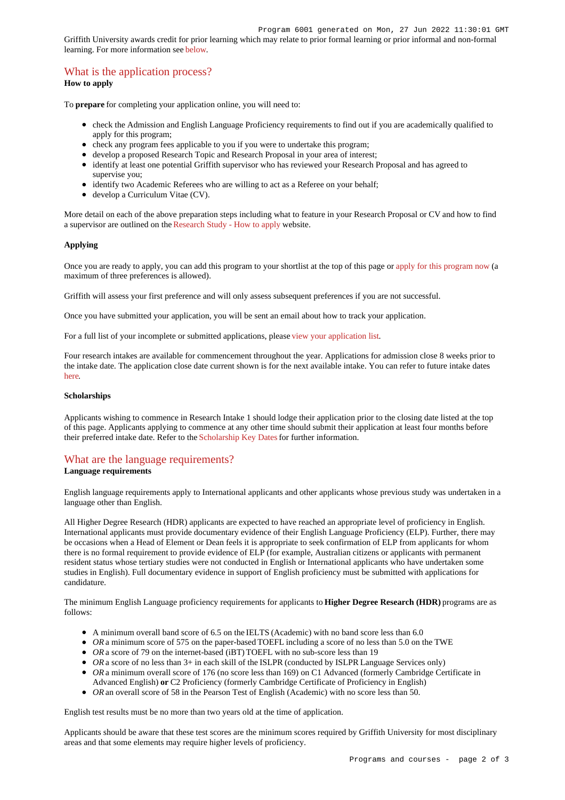Griffith University awards credit for prior learning which may relate to prior formal learning or prior informal and non-formal learning. For more information see [below](https://www148.griffith.edu.au/programs-courses/Program/6001/HowToApply/Domestic#credit).

## [What is the application process?](https://www148.griffith.edu.au/programs-courses/Program/6001/HowToApply/Domestic#process)

### **How to apply**

To **prepare** for completing your application online, you will need to:

- check the Admission and English Language Proficiency requirements to find out if you are academically qualified to apply for this program;
- check any program fees applicable to you if you were to undertake this program;
- develop a proposed Research Topic and Research Proposal in your area of interest;
- identify at least one potential Griffith supervisor who has reviewed your Research Proposal and has agreed to supervise you;
- identify two Academic Referees who are willing to act as a Referee on your behalf;
- $\bullet$  develop a Curriculum Vitae (CV).

More detail on each of the above preparation steps including what to feature in your Research Proposal or CV and how to find a supervisor are outlined on the [Research Study - How to apply](https://www.griffith.edu.au/research-study/apply) website.

#### **Applying**

Once you are ready to apply, you can add this program to your shortlist at the top of this page or [apply for this program now](https://www148.griffith.edu.au/online-admissions/Start/Index/DIRECT_HDR?applicationTemplateType=ONRSCH) (a maximum of three preferences is allowed).

Griffith will assess your first preference and will only assess subsequent preferences if you are not successful.

Once you have submitted your application, you will be sent an email about how to track your application.

For a full list of your incomplete or submitted applications, please [view your application list](https://www148.griffith.edu.au/online-admissions/shortlist/applications).

Four research intakes are available for commencement throughout the year. Applications for admission close 8 weeks prior to the intake date. The application close date current shown is for the next available intake. You can refer to future intake dates [here](https://www.griffith.edu.au/research-study/degrees).

#### **Scholarships**

Applicants wishing to commence in Research Intake 1 should lodge their application prior to the closing date listed at the top of this page. Applicants applying to commence at any other time should submit their application at least four months before their preferred intake date. Refer to the [Scholarship Key Dates](https://www.griffith.edu.au/research-study/scholarships#keydates) for further information.

## [What are the language requirements?](https://www148.griffith.edu.au/programs-courses/Program/6001/HowToApply/Domestic#language)

#### **Language requirements**

English language requirements apply to International applicants and other applicants whose previous study was undertaken in a language other than English.

All Higher Degree Research (HDR) applicants are expected to have reached an appropriate level of proficiency in English. International applicants must provide documentary evidence of their English Language Proficiency (ELP). Further, there may be occasions when a Head of Element or Dean feels it is appropriate to seek confirmation of ELP from applicants for whom there is no formal requirement to provide evidence of ELP (for example, Australian citizens or applicants with permanent resident status whose tertiary studies were not conducted in English or International applicants who have undertaken some studies in English). Full documentary evidence in support of English proficiency must be submitted with applications for candidature.

The minimum English Language proficiency requirements for applicants to **Higher Degree Research (HDR)** programs are as follows:

- A minimum overall band score of 6.5 on the IELTS (Academic) with no band score less than 6.0
- OR a minimum score of 575 on the paper-based TOEFL including a score of no less than 5.0 on the TWE
- *OR* a score of 79 on the internet-based (iBT) TOEFL with no sub-score less than 19
- OR a score of no less than 3+ in each skill of the ISLPR (conducted by ISLPR Language Services only)
- OR a minimum overall score of 176 (no score less than 169) on C1 Advanced (formerly Cambridge Certificate in Advanced English) **or** C2 Proficiency (formerly Cambridge Certificate of Proficiency in English)
- OR an overall score of 58 in the Pearson Test of English (Academic) with no score less than 50.

English test results must be no more than two years old at the time of application.

Applicants should be aware that these test scores are the minimum scores required by Griffith University for most disciplinary areas and that some elements may require higher levels of proficiency.